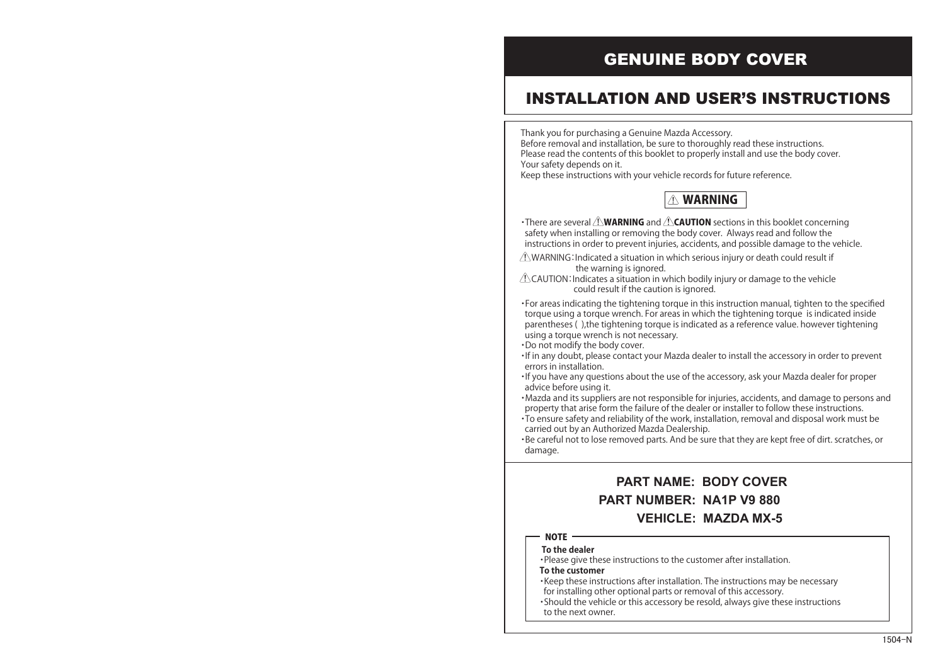Thank you for purchasing a Genuine Mazda Accessory. Before removal and installation, be sure to thoroughly read these instructions. Please read the contents of this booklet to properly install and use the body cover. Your safety depends on it.

Keep these instructions with your vehicle records for future reference.

### **AN WARNING**

• There are several  $\triangle$  **WARNING** and  $\triangle$  **CAUTION** sections in this booklet concerning safety when installing or removing the body cover. Always read and follow the instructions in order to prevent injuries, accidents, and possible damage to the vehicle.

- $\triangle$  WARNING: Indicated a situation in which serious injury or death could result if the warning is ignored.
- $\triangle$ CAUTION: Indicates a situation in which bodily injury or damage to the vehicle could result if the caution is ignored.

・For areas indicating the tightening torque in this instruction manual, tighten to the specified torque using a torque wrench. For areas in which the tightening torque is indicated inside parentheses ( ),the tightening torque is indicated as a reference value. however tightening using a torque wrench is not necessary. ・Do not modify the body cover.

- ・If in any doubt, please contact your Mazda dealer to install the accessory in order to prevent errors in installation.
- ・If you have any questions about the use of the accessory, ask your Mazda dealer for proper advice before using it.
- Mazda and its suppliers are not responsible for injuries, accidents, and damage to persons and property that arise form the failure of the dealer or installer to follow these instructions. ・To ensure safety and reliability of the work, installation, removal and disposal work must be
- carried out by an Authorized Mazda Dealership. ・Be careful not to lose removed parts. And be sure that they are kept free of dirt. scratches, or damage.

# GENUINE BODY COVER

# INSTALLATION AND USER'S INSTRUCTIONS

**To the dealer**

- ・Please give these instructions to the customer after installation. **To the customer**
- ・Keep these instructions after installation. The instructions may be necessary for installing other optional parts or removal of this accessory.
- ・Should the vehicle or this accessory be resold, always give these instructions to the next owner.

- 
- 

- 
- 

## **PART NAME: BODY COVER PART NUMBER: NA1P V9 880 VEHICLE: MAZDA MX-5**

### **NOTE**